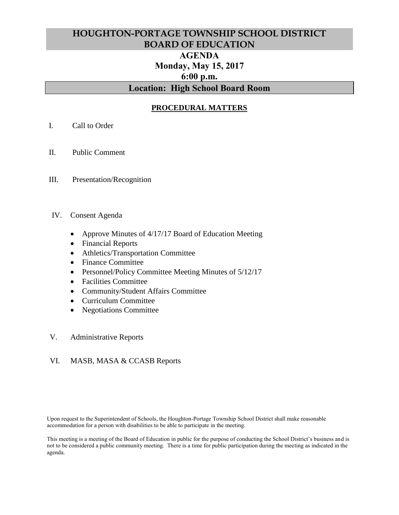# **HOUGHTON-PORTAGE TOWNSHIP SCHOOL DISTRICT BOARD OF EDUCATION AGENDA Monday, May 15, 2017 6:00 p.m. Location: High School Board Room**

## **PROCEDURAL MATTERS**

- I. Call to Order
- II. Public Comment
- III. Presentation/Recognition
- IV. Consent Agenda
	- Approve Minutes of 4/17/17 Board of Education Meeting
	- Financial Reports
	- Athletics/Transportation Committee
	- Finance Committee
	- Personnel/Policy Committee Meeting Minutes of 5/12/17
	- Facilities Committee
	- Community/Student Affairs Committee
	- Curriculum Committee
	- Negotiations Committee
- V. Administrative Reports

#### VI. MASB, MASA & CCASB Reports

Upon request to the Superintendent of Schools, the Houghton-Portage Township School District shall make reasonable accommodation for a person with disabilities to be able to participate in the meeting.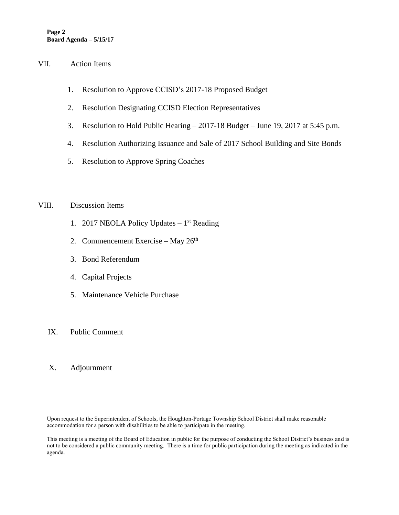#### VII. Action Items

- 1. Resolution to Approve CCISD's 2017-18 Proposed Budget
- 2. Resolution Designating CCISD Election Representatives
- 3. Resolution to Hold Public Hearing 2017-18 Budget June 19, 2017 at 5:45 p.m.
- 4. Resolution Authorizing Issuance and Sale of 2017 School Building and Site Bonds
- 5. Resolution to Approve Spring Coaches

#### VIII. Discussion Items

- 1. 2017 NEOLA Policy Updates  $-1<sup>st</sup>$  Reading
- 2. Commencement Exercise May  $26<sup>th</sup>$
- 3. Bond Referendum
- 4. Capital Projects
- 5. Maintenance Vehicle Purchase

#### IX. Public Comment

#### X. Adjournment

Upon request to the Superintendent of Schools, the Houghton-Portage Township School District shall make reasonable accommodation for a person with disabilities to be able to participate in the meeting.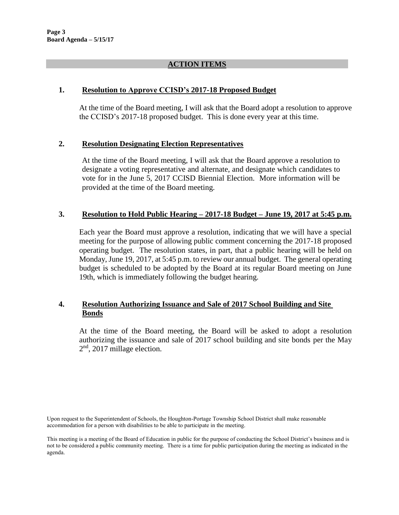#### **ACTION ITEMS**

#### **1. Resolution to Approve CCISD's 2017-18 Proposed Budget**

At the time of the Board meeting, I will ask that the Board adopt a resolution to approve the CCISD's 2017-18 proposed budget. This is done every year at this time.

## **2. Resolution Designating Election Representatives**

At the time of the Board meeting, I will ask that the Board approve a resolution to designate a voting representative and alternate, and designate which candidates to vote for in the June 5, 2017 CCISD Biennial Election. More information will be provided at the time of the Board meeting.

## **3. Resolution to Hold Public Hearing – 2017-18 Budget – June 19, 2017 at 5:45 p.m.**

Each year the Board must approve a resolution, indicating that we will have a special meeting for the purpose of allowing public comment concerning the 2017-18 proposed operating budget. The resolution states, in part, that a public hearing will be held on Monday, June 19, 2017, at 5:45 p.m. to review our annual budget. The general operating budget is scheduled to be adopted by the Board at its regular Board meeting on June 19th, which is immediately following the budget hearing.

## **4. Resolution Authorizing Issuance and Sale of 2017 School Building and Site Bonds**

At the time of the Board meeting, the Board will be asked to adopt a resolution authorizing the issuance and sale of 2017 school building and site bonds per the May 2<sup>nd</sup>, 2017 millage election.

Upon request to the Superintendent of Schools, the Houghton-Portage Township School District shall make reasonable accommodation for a person with disabilities to be able to participate in the meeting.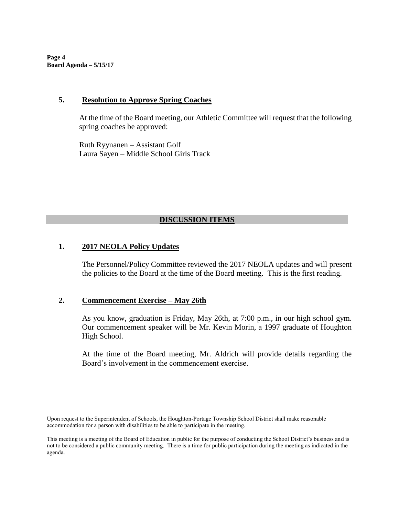**Page 4 Board Agenda – 5/15/17**

#### **5. Resolution to Approve Spring Coaches**

At the time of the Board meeting, our Athletic Committee will request that the following spring coaches be approved:

Ruth Ryynanen – Assistant Golf Laura Sayen – Middle School Girls Track

## **DISCUSSION ITEMS**

#### **1. 2017 NEOLA Policy Updates**

The Personnel/Policy Committee reviewed the 2017 NEOLA updates and will present the policies to the Board at the time of the Board meeting. This is the first reading.

#### **2. Commencement Exercise – May 26th**

As you know, graduation is Friday, May 26th, at 7:00 p.m., in our high school gym. Our commencement speaker will be Mr. Kevin Morin, a 1997 graduate of Houghton High School.

At the time of the Board meeting, Mr. Aldrich will provide details regarding the Board's involvement in the commencement exercise.

Upon request to the Superintendent of Schools, the Houghton-Portage Township School District shall make reasonable accommodation for a person with disabilities to be able to participate in the meeting.